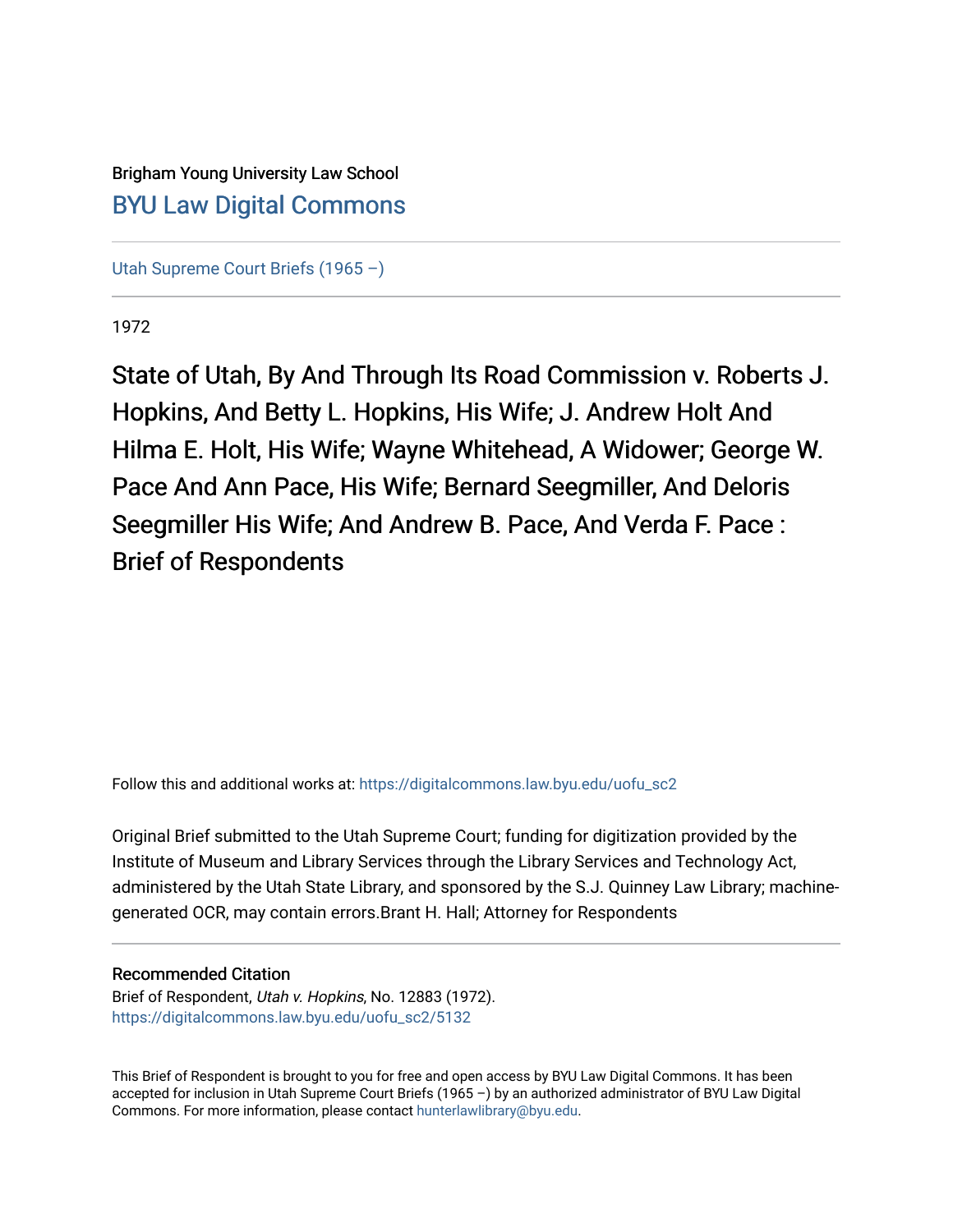# Brigham Young University Law School [BYU Law Digital Commons](https://digitalcommons.law.byu.edu/)

[Utah Supreme Court Briefs \(1965 –\)](https://digitalcommons.law.byu.edu/uofu_sc2)

1972

State of Utah, By And Through Its Road Commission v. Roberts J. Hopkins, And Betty L. Hopkins, His Wife; J. Andrew Holt And Hilma E. Holt, His Wife; Wayne Whitehead, A Widower; George W. Pace And Ann Pace, His Wife; Bernard Seegmiller, And Deloris Seegmiller His Wife; And Andrew B. Pace, And Verda F. Pace: Brief of Respondents

Follow this and additional works at: [https://digitalcommons.law.byu.edu/uofu\\_sc2](https://digitalcommons.law.byu.edu/uofu_sc2?utm_source=digitalcommons.law.byu.edu%2Fuofu_sc2%2F5132&utm_medium=PDF&utm_campaign=PDFCoverPages)

Original Brief submitted to the Utah Supreme Court; funding for digitization provided by the Institute of Museum and Library Services through the Library Services and Technology Act, administered by the Utah State Library, and sponsored by the S.J. Quinney Law Library; machinegenerated OCR, may contain errors.Brant H. Hall; Attorney for Respondents

# Recommended Citation

Brief of Respondent, Utah v. Hopkins, No. 12883 (1972). [https://digitalcommons.law.byu.edu/uofu\\_sc2/5132](https://digitalcommons.law.byu.edu/uofu_sc2/5132?utm_source=digitalcommons.law.byu.edu%2Fuofu_sc2%2F5132&utm_medium=PDF&utm_campaign=PDFCoverPages) 

This Brief of Respondent is brought to you for free and open access by BYU Law Digital Commons. It has been accepted for inclusion in Utah Supreme Court Briefs (1965 –) by an authorized administrator of BYU Law Digital Commons. For more information, please contact [hunterlawlibrary@byu.edu](mailto:hunterlawlibrary@byu.edu).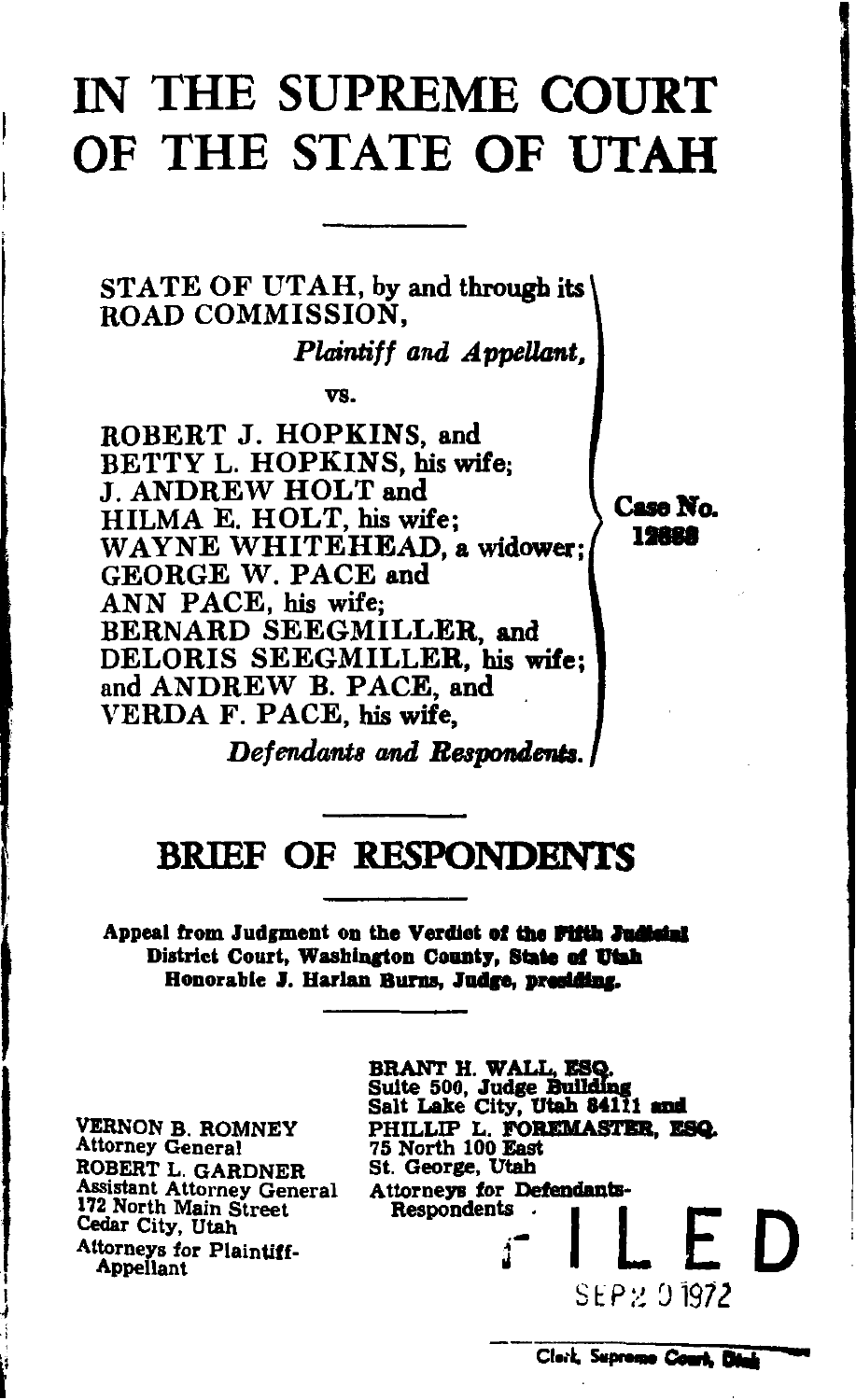# IN THE SUPREME COURT OF THE STATE OF UTAH

STATE OF UTAH, by and through its ROAD COMMISSION.

*Plaintiff and Appellant,* 

vs.

ROBERT J. HOPKINS, and BETTY L. HOPKINS, his wife; J. ANDREW HOLT and HILMA E. HOLT, his wife; WAYNE WHITEHEAD, a widower; GEORGE W. PACE and ANN PACE, his wife; BERNARD SEEGMILLER, and DELORIS SEEGMILLER, his wife; and ANDREW B. PACE, and VERDA F. PACE, his wife,

Case No. 12688

*Defendants and Respondents.* 

# BRIEF OF RESPONDENTS

 $\mathbf{I}$ Appeal from Judgment on the Verdiet of the Fifth Judicial District Court, Washington County, State of Utah Honorable J. Harlan Burns, Judge, presiding,

> VERNON B. ROMNEY Attorney General ROBERT L. GARDNER Assistant Attorney General 172 North Main Street Cedar City, Utah Attorneys for Plaintiff. Appellant

d

BRANT H. WALL, ESQ.<br>Suite 500, Judge Buildin Salt Lake City, Utah 84111 and PHILLIP L. FOREMASTER, ESQ.<br>75 North 100 East<br>St. George, Utah Attorneys for Defendants-<br>Respondents<br> $\begin{array}{c} \begin{array}{c} \cdot \\ \cdot \\ \cdot \end{array} \end{array}$ S E P '.'J 197 *2* 

Clork, Supreme Court. Die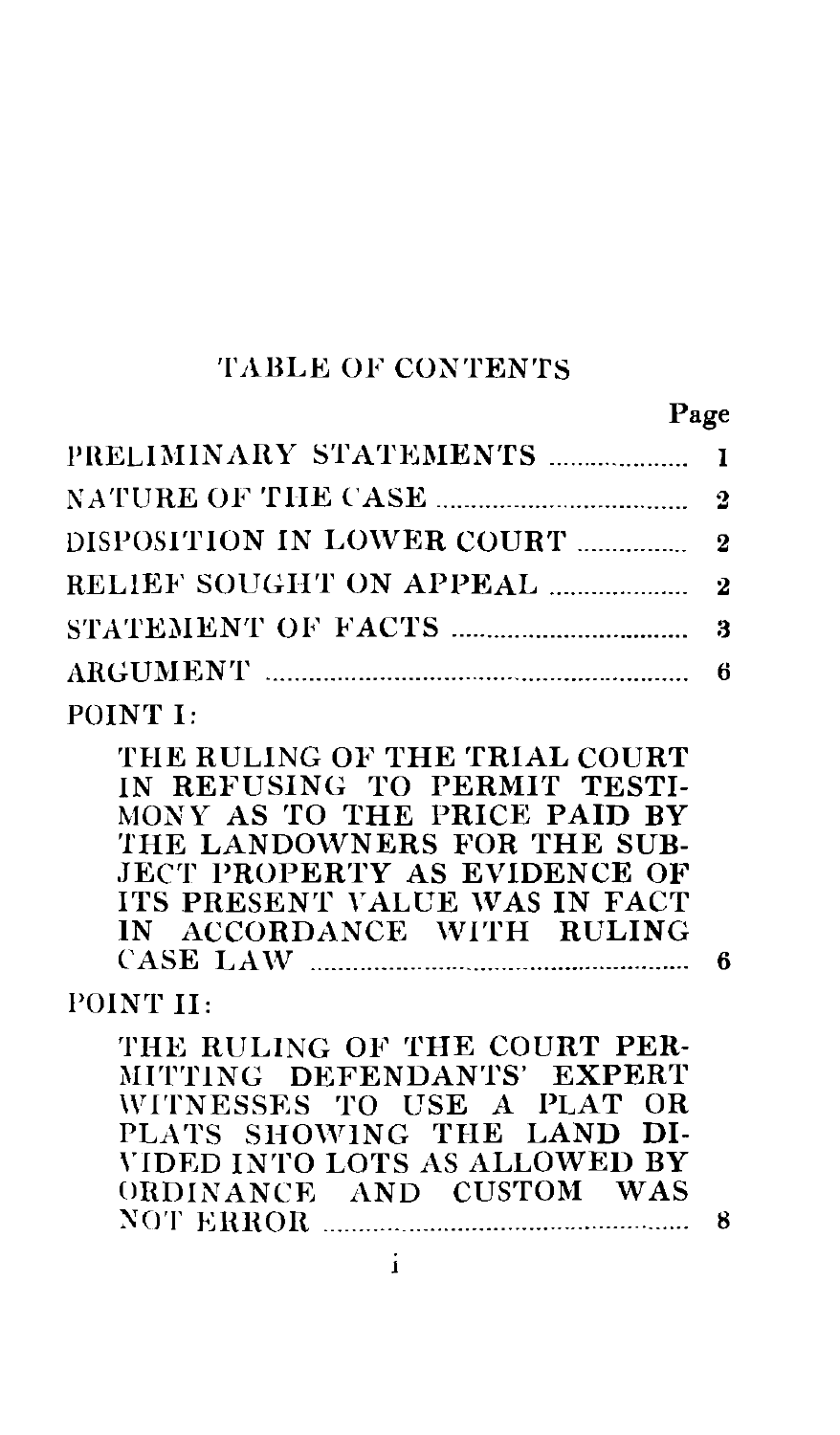#### TABLE OF CONTENTS

THE RULING OF THE TRIAL COURT IN REFUSING TO PERMIT TESTI-MONY AS TO THE PRICE PAID BY THE LANDOWNERS FOR THE SUB-JECT PROPERTY AS EVIDENCE OF ITS PRESENT YALUE WAS IN FACT IN ACCORDANCE WITH RULING CASE LA \V ···············-··-··········--···········--·········· 6

#### POINT II:

POINT I:

THE RULING OF THE COURT PER-MITTING DEFENDANTS' EXPERT WITNESSES TO USE A PLAT OR PLATS SHOWING THE LAND DI- \'IDED INTO LOTS AS ALLOWED BY ORDINANCE AND CUSTOM WAS XOT EHHOR ---······· ··-···········--·····-····--····--······ 8

i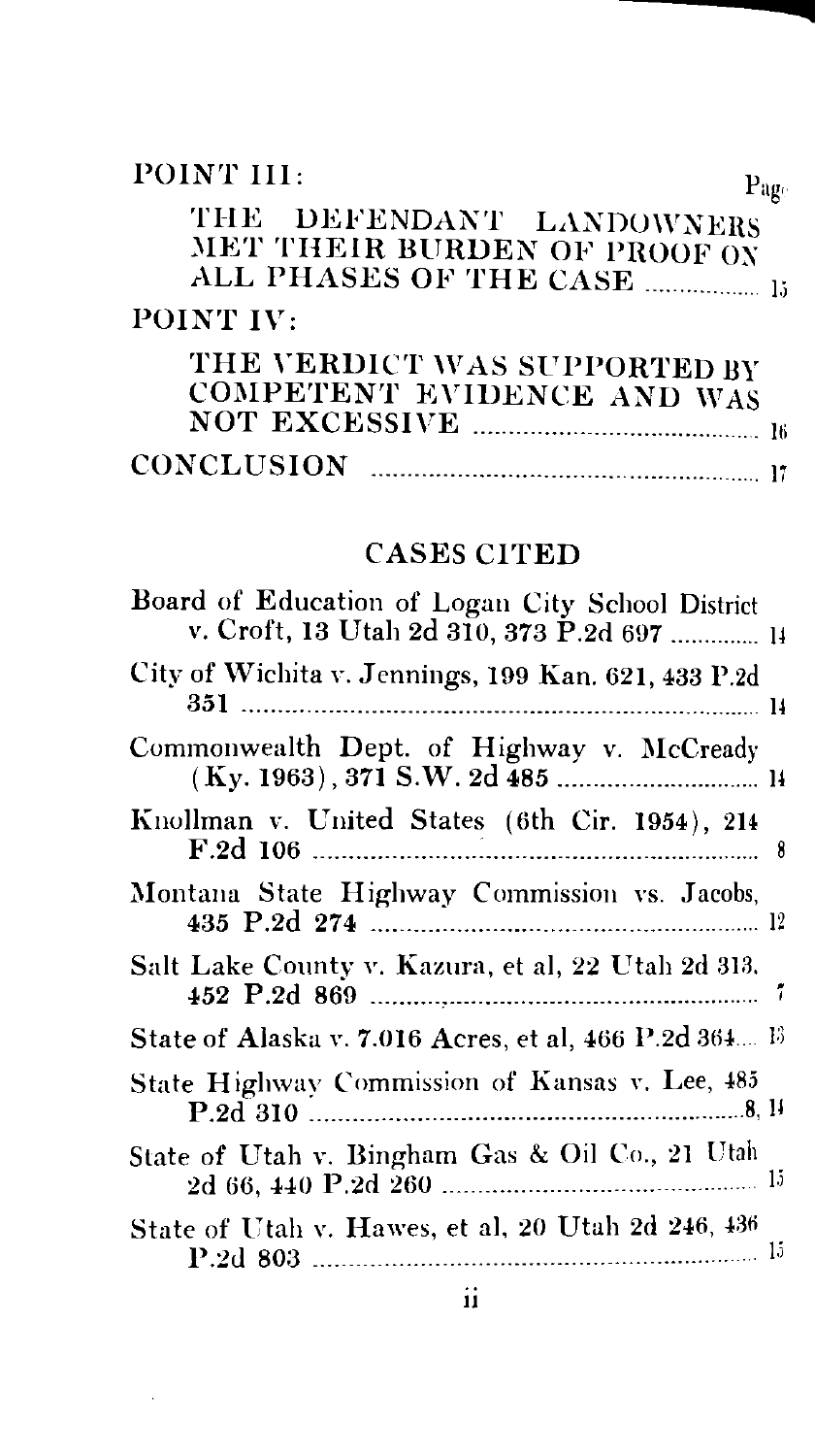| POINT III:<br>$P_{\rm 40c}$                                |  |
|------------------------------------------------------------|--|
| THE DEFENDANT LANDOWNERS<br>MET THEIR BURDEN OF PROOF ON   |  |
| POINT IV:                                                  |  |
| THE VERDICT WAS SUPPORTED BY<br>COMPETENT EVIDENCE AND WAS |  |
| <b>CONCLUSION</b>                                          |  |

## CASES CITED

| Board of Education of Logan City School District<br>v. Croft, 13 Utah 2d 310, 373 P.2d 697  14 |  |
|------------------------------------------------------------------------------------------------|--|
| City of Wichita v. Jennings, 199 Kan. 621, 433 P.2d                                            |  |
| Commonwealth Dept. of Highway v. McCready                                                      |  |
| Knollman v. United States (6th Cir. 1954), 214                                                 |  |
| Montana State Highway Commission vs. Jacobs,                                                   |  |
| Salt Lake County v. Kazura, et al, 22 Utah 2d 313.                                             |  |
| State of Alaska v. 7.016 Acres, et al, 466 P.2d 364 13                                         |  |
| State Highway Commission of Kansas v. Lee, 485                                                 |  |
| State of Utah v. Bingham Gas & Oil Co., 21 Utah                                                |  |
| State of Utah v. Hawes, et al, 20 Utah 2d 246, 436                                             |  |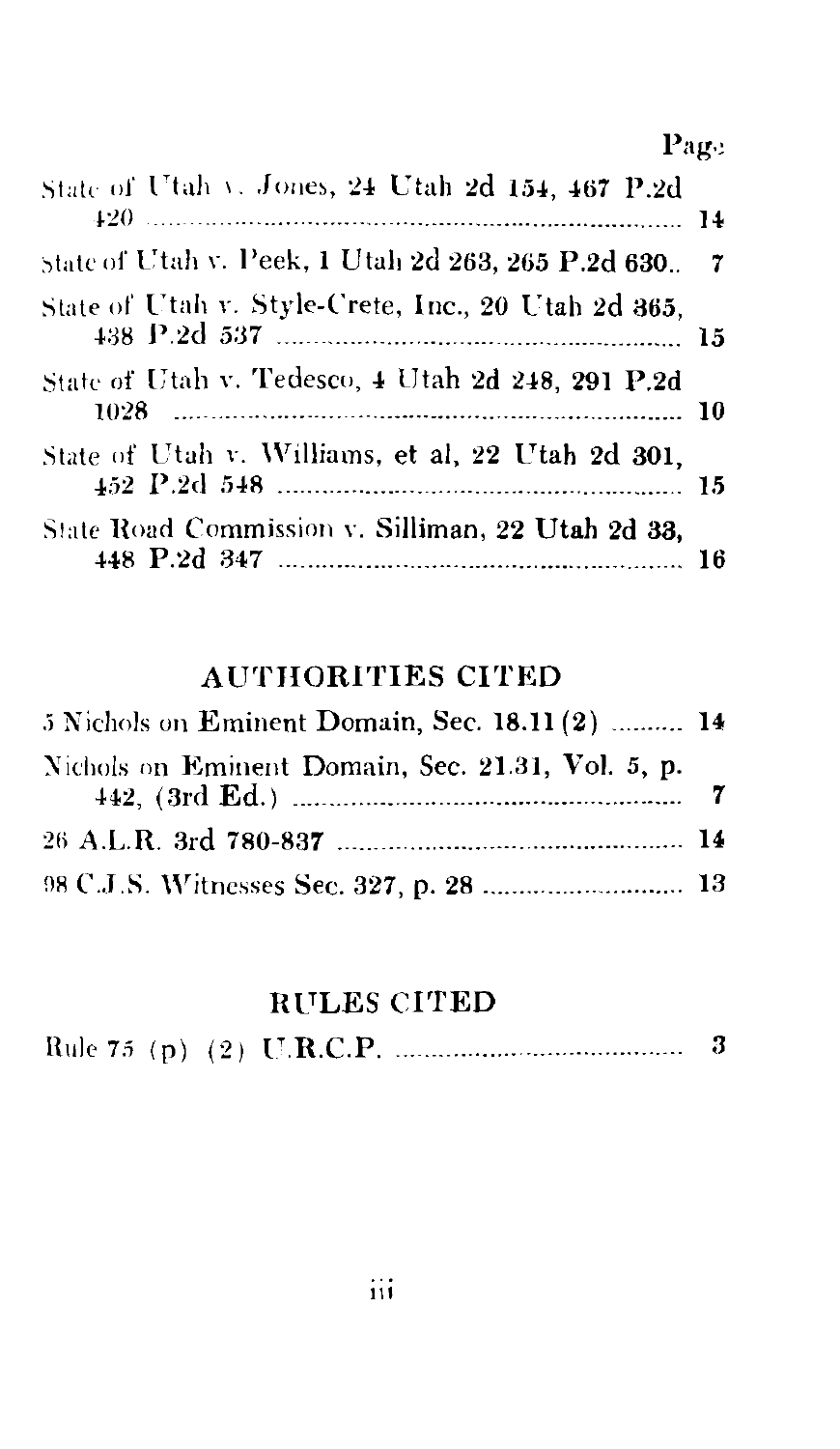Page

| State of Utah v. Jones, 24 Utah 2d 154, 467 P.2d      |  |
|-------------------------------------------------------|--|
| state of Utah v. Peek, 1 Utah 2d 263, 265 P.2d 630. 7 |  |
| State of Utah v. Style-Crete, Inc., 20 Utah 2d 365,   |  |
| State of Utah v. Tedesco, 4 Utah 2d 248, 291 P.2d     |  |
| State of Utah v. Williams, et al, 22 Utah 2d 301,     |  |
| State Road Commission v. Silliman, 22 Utah 2d 33,     |  |

# **AUTHORITIES CITED**

| 5 Nichols on Eminent Domain, Sec. 18.11 (2)  14   |  |
|---------------------------------------------------|--|
| Nichols on Eminent Domain, Sec. 21.31, Vol. 5, p. |  |
|                                                   |  |
|                                                   |  |

## **RULES CITED**

|--|--|--|--|--|--|--|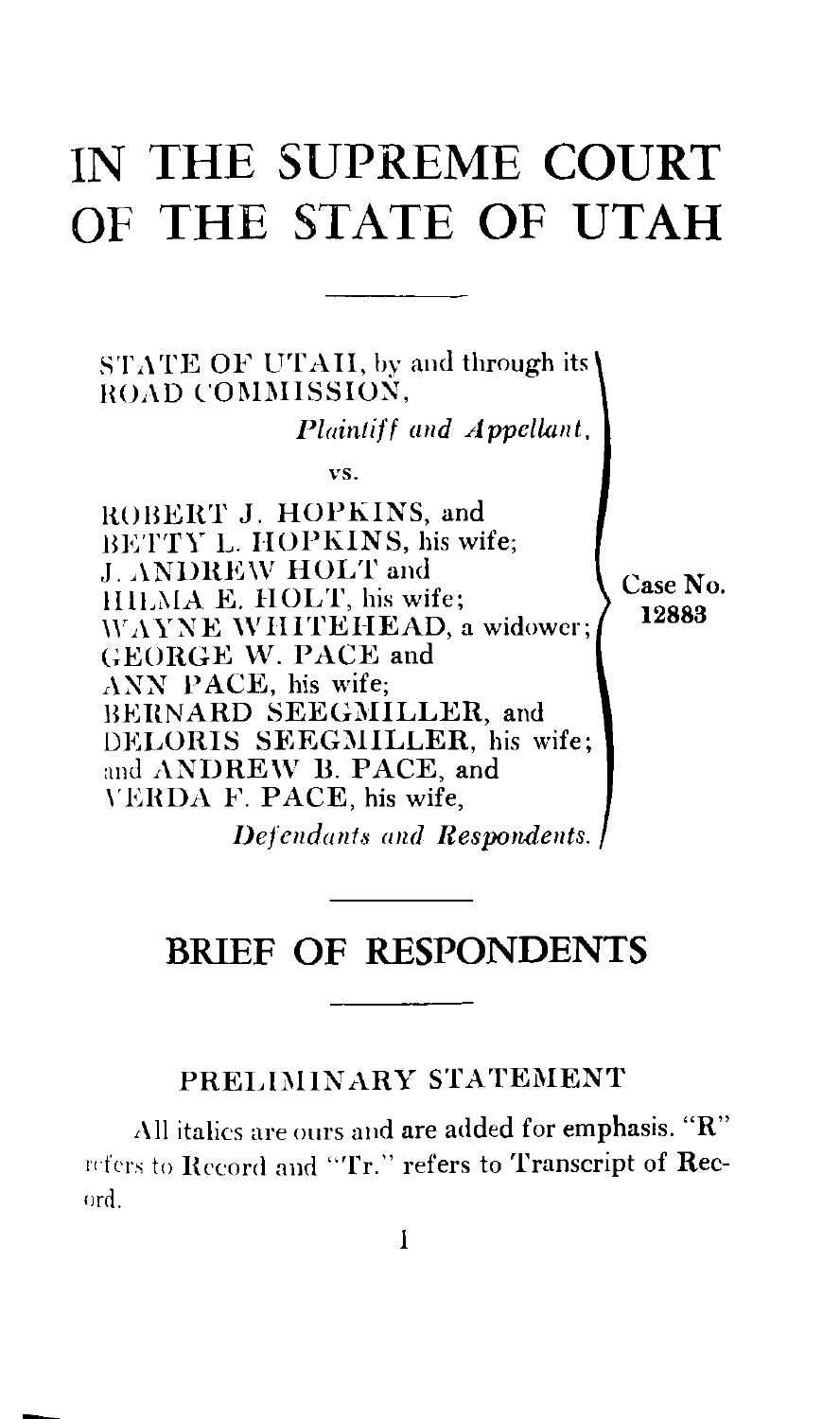# **IN THE SUPREME COURT OF THE STATE OF UTAH**

 $STATE$  OF UTAII, by and through its ROAD COMMISSION. *Plaintiff and Appellant,*  vs. ROBERT J. HOPKINS, and BETTY L. HOPKINS, his wife; J. ANDREW HOLT and lllLi\IA E. HOLT, his wife; WAYNE WHITEHEAD, a widower; GEORGE W. PACE and ANN PACE, his wife; BERNARD SEEGMILLER, and DELORIS SEEGMILLER, his wife; and ANDREW B. PACE, and \'EHDA F. PACE, his wife, Case No. 12883

*Defendants and Respondents.* 

# **BRIEF OF RESPONDENTS**

#### PRELIMINARY STATEMENT

,\IJ italics are ours and are added for emphasis. **"R"**  Infers to Record and "Tr." refers to Transcript of Recorrl.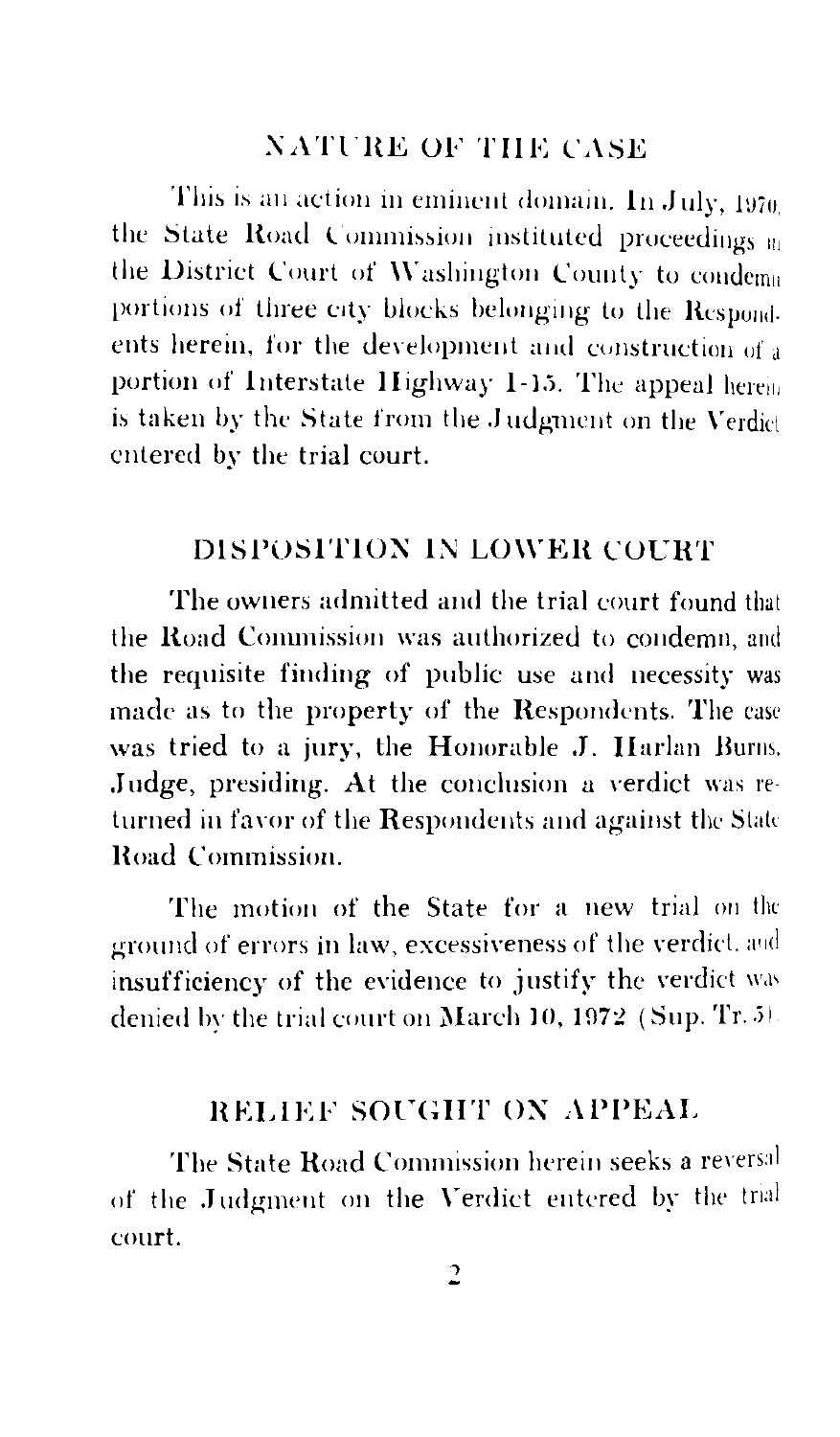#### **NATURE OF THE CASE**

This is an action in eminent domain. In July, 1970 the State Road Commission instituted proceedings on the District Court of Washington County to condema portions of three city blocks belonging to the Respond ents herein, for the development and construction of a portion of Interstate Highway 1-15. The anneal herein is taken by the State from the Judement on the Verdict entered by the trial court.

### DISPOSITION IN LOWER COURT

The owners admitted and the trial court found that the Road Commission was authorized to condemn and the requisite finding of public use and necessity was made as to the property of the Respondents. The case was tried to a jury, the Honorable J. Harlan Burns. Judge, presiding. At the conclusion a verdict was returned in favor of the Respondents and against the State Road Commission

The motion of the State for a new trial on the ground of errors in law, excessiveness of the verdict. and insufficiency of the evidence to justify the verdict was denied by the trial court on March 10, 1972 (Sup. Tr. 5)

#### **RELIEF SOUGHT ON APPEAL**

The State Road Commission herein seeks a reversal of the Judgment on the Verdict entered by the trial court.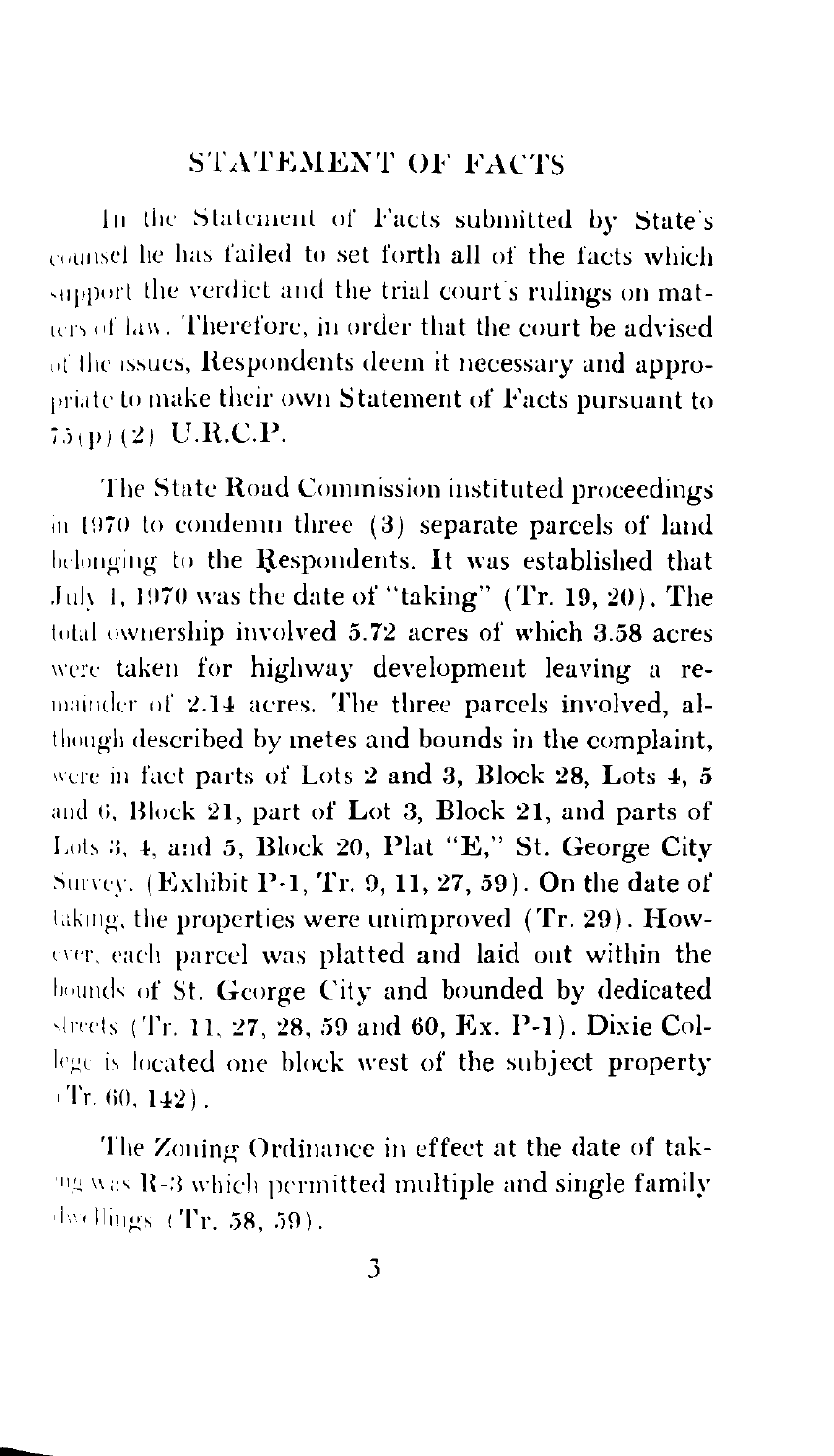#### STATEMENT OF FACTS

In the Statement of Facts submitted by State's counsel he has failed to set forth all of the facts which support the verdict and the trial court's rulings on matters of law. Therefore, in order that the court be advised of the issues, Respondents deem it necessary and appropriate to make their own Statement of Facts pursuant to  $75(p)(2)$  U.R.C.P.

The State Hoad Commission instituted proceedings in  $1970$  to condemn three  $(3)$  separate parcels of land belonging to the Respondents. It was established that July 1, 1970 was the date of "taking" (Tr. 19, 20). The total ownership involved  $5.72$  acres of which  $3.58$  acres were taken for highway development leaving a remainder of 2.14 acres. The three parcels involved, although described by metes and bounds in the complaint, were in fact parts of Lots 2 and 3, Block 28, Lots 4, 5 and 6, Block 21, part of Lot 3, Block 21, and parts of Lots 3, 4, and 5, Block 20, Plat "E," St. George City Survey. (Exhibit P-1, Tr. 9, 11, 27, 59). On the date of laking, the properties were unimproved (Tr. 29). However, each parcel was platted and laid out within the bounds of St. George City and bounded by dedicated streets (Tr. 11, 27, 28, 59 and 60, Ex. P-1). Dixie College is located one block west of the subject property  $(Tr.60, 142)$ .

The Zoning Ordinance in effect at the date of tak- $11/19$  was R-3 which permitted multiple and single family  $,\,\mathrm{dw}$  llings  $(Tr, 58, 59)$ .

--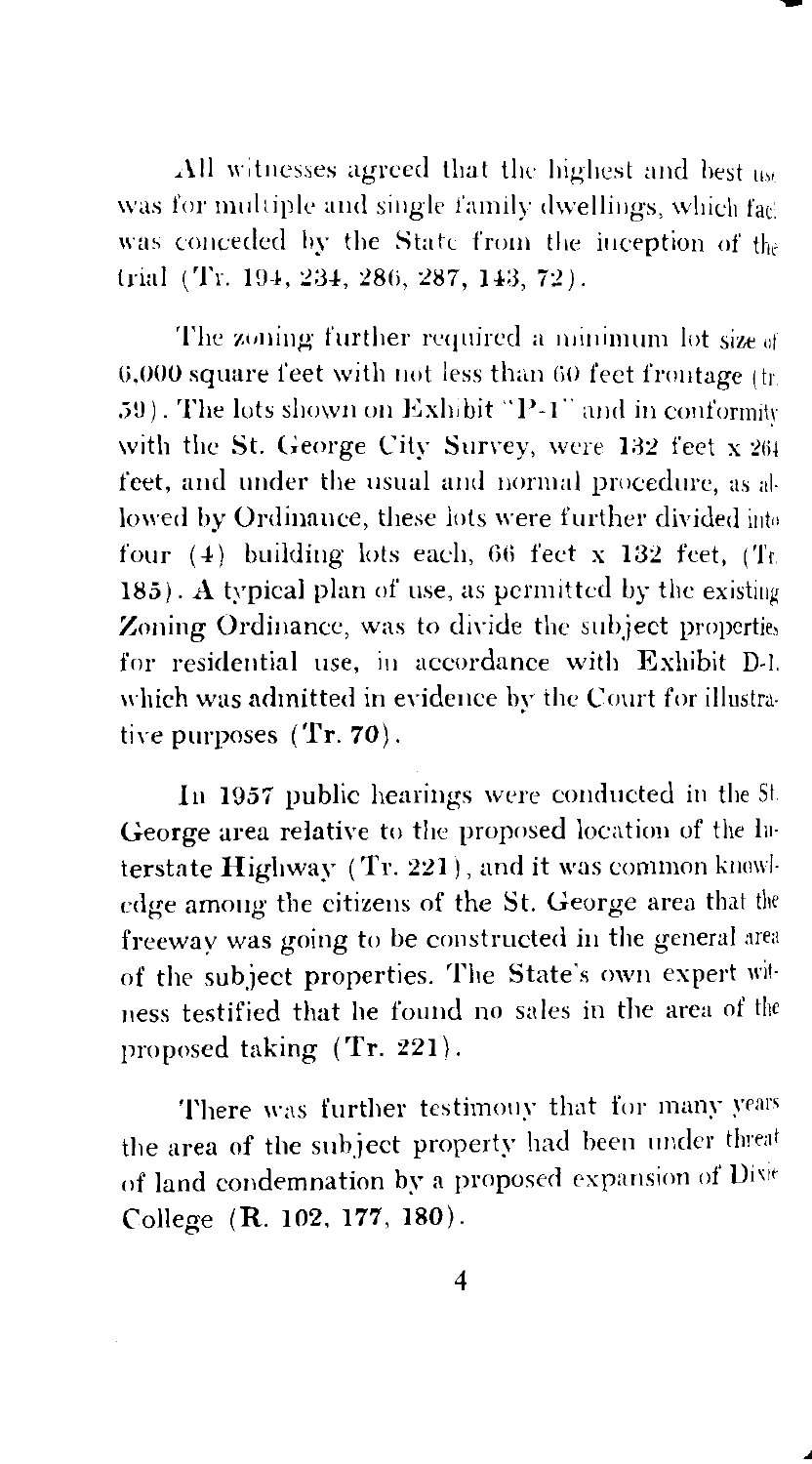All witnesses agreed that the highest and best us. was for multiple and single family dwellings, which fact was conceded by the State from the inception of the trial (Tr. 194, 234, 286, 287, 143, 72).

The zoning further required a minimum lot size of  $6,000$  square feet with not less than  $60$  feet frontage (tr. 59). The lots shown on Exhibit "P-1" and in conformity with the St. George City Survey, were  $132$  feet x  $264$ feet, and under the usual and normal procedure, as allowed by Ordinance, these lots were further divided into four  $(4)$  building lots each, 66 feet x 132 feet, (Tr.  $185$ ). A typical plan of use, as permitted by the existing Zoning Ordinance, was to divide the subject properties for residential use, in accordance with Exhibit D-1. which was admitted in evidence by the Court for illustrative purposes  $(Tr. 70)$ .

In 1957 public hearings were conducted in the St George area relative to the proposed location of the Jn. terstate Highway (Tr. 221), and it was common knowledge among the citizens of the St. George area that the freeway was going to be constructed in the general area of the subject properties. The State's own expert wit· 11ess testified that he found no sales in the area of the proposed taking (Tr. 221).

There was further testimony that for many years the area of the subject property had been under threat of land condemnation by a proposed expansion of College (R. 102. 177, 180).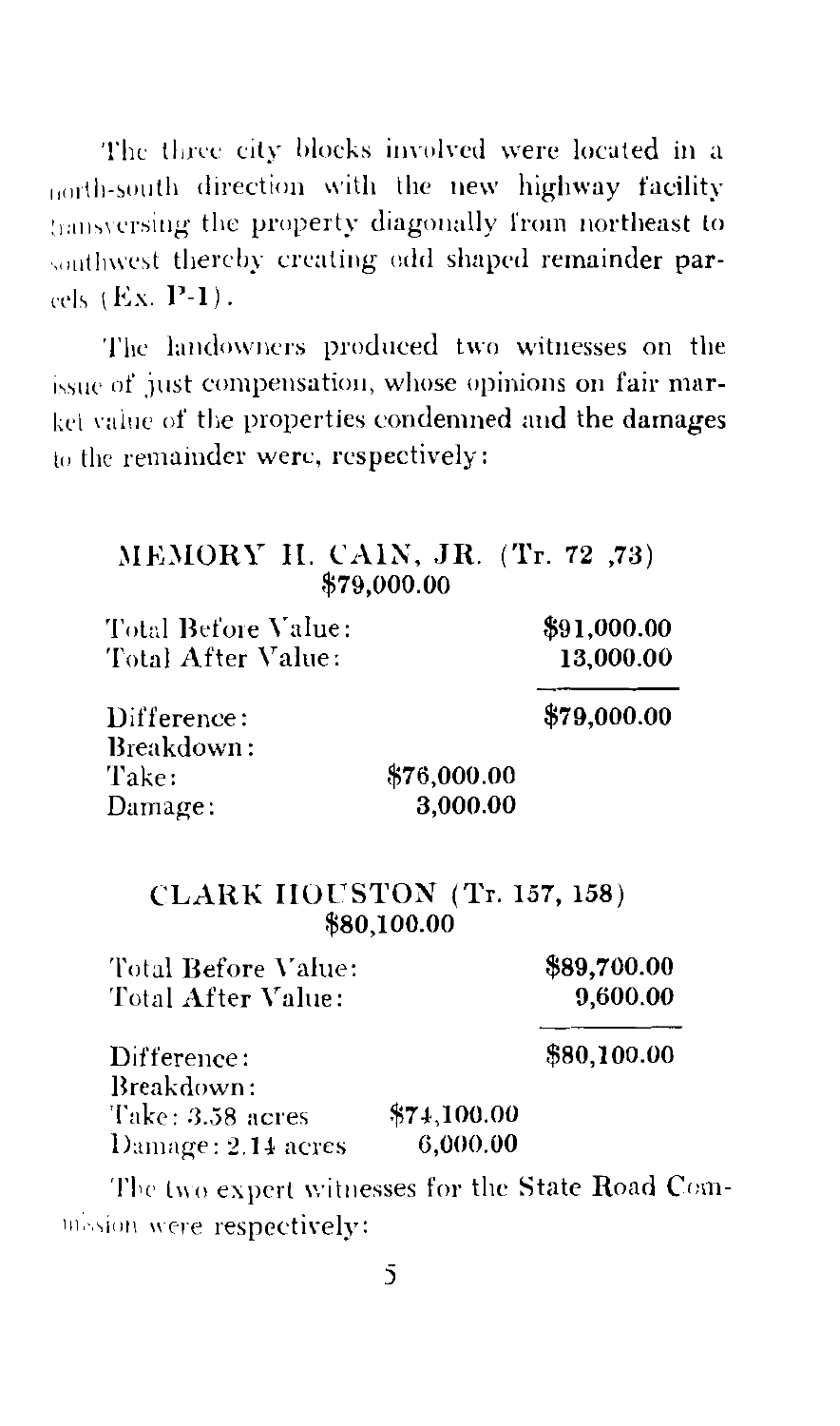The three city blocks involved were located in a north-south direction with the new highway facility transversing the property diagonally from northeast to southwest thereby creating odd shaped remainder parcels (Ex. P-1).

The landowners produced two witnesses on the issue of just compensation, whose opinions on fair market value of the properties condemned and the damages to the remainder were, respectively:

| \$91,000.00                         |
|-------------------------------------|
| 13,000.00                           |
| \$79,000.00                         |
|                                     |
|                                     |
|                                     |
| \$89,700.00<br>9,600.00             |
| \$80,100.00                         |
|                                     |
|                                     |
|                                     |
|                                     |
| <b>CLARK HOUSTON (Tr. 157, 158)</b> |

mission were respectively: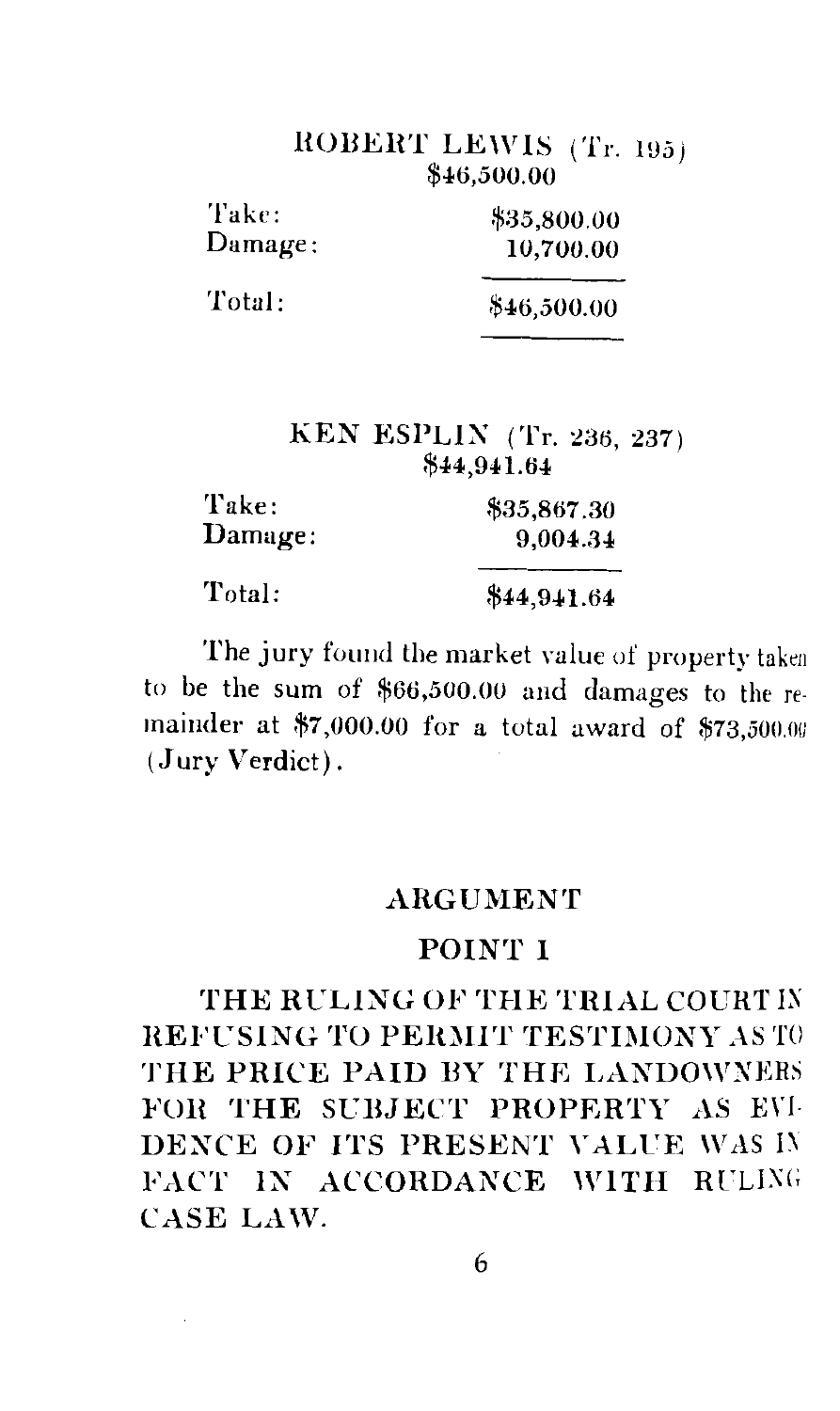## HOBEHT LEWIS (Tr. *1U5)*  \$46,500.00

| Take:    | \$35,800.00 |  |
|----------|-------------|--|
| Damage : | 10,700.00   |  |
| Total:   | \$46,500.00 |  |

#### KEN ESPLIN (Tr. 236, 237) \$44,941.64

| Take:   | \$35,867.30 |
|---------|-------------|
| Damage: | 9,004.34    |
| Total:  | \$44,941.64 |

The jury found the market value of property taken to be the sum of \$66,500.00 and damages to the re· mainder at \$7,000.00 for a total award of \$73,500.00 (.Jury Verdict) .

#### ARGUMENT

#### POINT I

THE RULING OF THE TRIAL COURT IN **REFUSING TO PERMIT TESTIMONY AS TO** THE PRICE PAID BY THE LANDOWNERS FOR THE SUBJECT PROPERTY AS EVI-DENCE OF ITS PRESENT VALUE WAS IV FACT IN ACCORDANCE WITH RULING CASE LAW.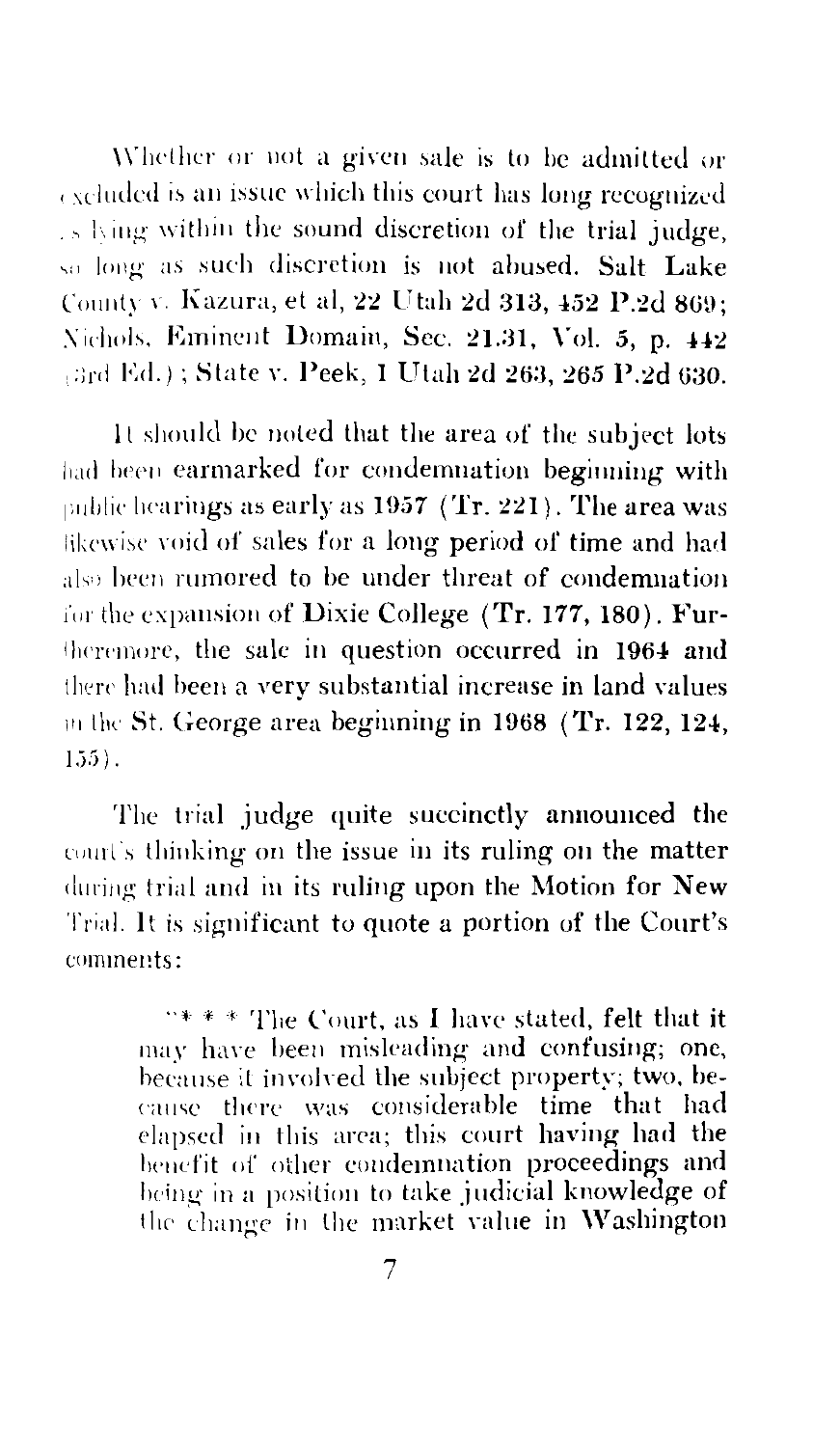Whether or not a given sale is to be admitted or excluded is an issue which this court has long recognized is lying within the sound discretion of the trial judge, so long as such discretion is not abused. Salt Lake County v. Kazura, et al, 22 Utah 2d 313, 452 P.2d 869: Nichols, Eminent Domain, Sec. 21.31, Vol. 5, p. 442 (3rd Ed.); State v. Peek, 1 Utah 2d 263, 265 P.2d 630.

It should be noted that the area of the subject lots had been earmarked for condemnation beginning with public hearings as early as  $1957$  (Tr. 221). The area was likewise void of sales for a long period of time and had also been rumored to be under threat of condemnation for the expansion of Dixie College  $(Tr, 177, 180)$ . Furtheremore, the sale in question occurred in 1964 and there had been a very substantial increase in land values in the St. George area beginning in 1968 (Tr. 122, 124,  $155$ ).

The trial judge quite succinctly announced the court's thinking on the issue in its ruling on the matter during trial and in its ruling upon the Motion for New Trial. It is significant to quote a portion of the Court's comments:

> "\*\*\* The Court, as I have stated, felt that it may have been misleading and confusing; one, because it involved the subject property; two, because there was considerable time that had elapsed in this area; this court having had the benefit of other condemnation proceedings and being in a position to take judicial knowledge of the change in the market value in Washington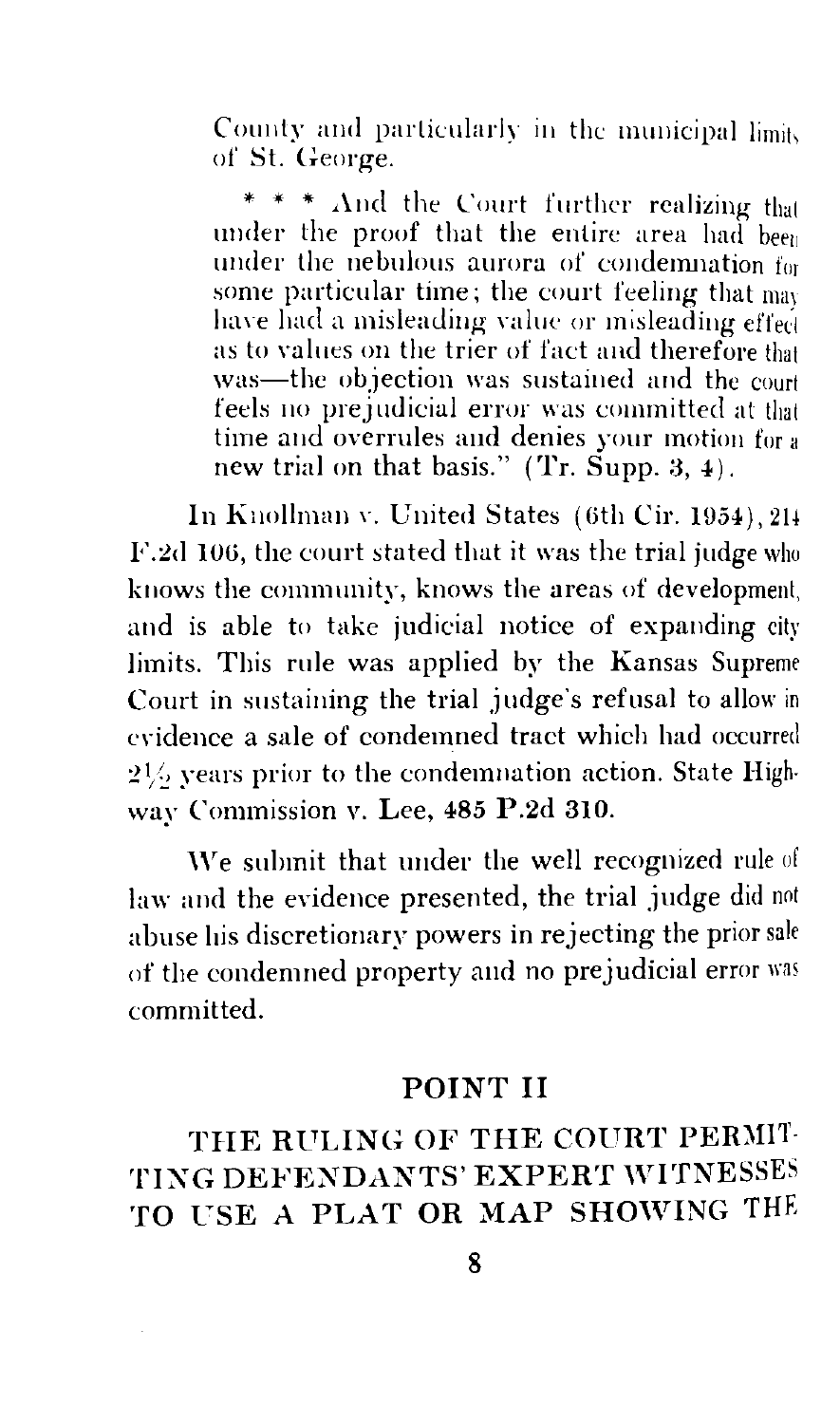County and particularly in the municipal limit. of St. George.

\* \* \*  $\Lambda$ nd the Court further realizing that under the proof that the entire area had been under the nebulous aurora of condemnation for some particular time; the court feeling that  $\frac{1}{100}$ have had a misleading value or misleading effect as to values on the trier of fact and therefore that was—the objection was sustained and the court feels no prejudicial error was committed at that time and overrules and denies your motion for a new trial on that basis." (Tr. Supp. 3, 4).

In Knollman v. United States (6th Cir. 1954), 214 F.2d 106, the court stated that it was the trial judge who knows the community, knows the areas of development, and is able to take judicial notice of expanding city limits. This rule was applied by the Kansas Supreme Court in sustaining the trial judge's refusal to allow in cYidence a sale of condemned tract which had occurred  $2\frac{1}{6}$  years prior to the condemnation action. State Highway Commission v. Lee, 485 P.2d 310.

We submit that under the well recognized rule of law and the evidence presented, the trial judge did not abuse his discretionary powers in rejecting the prior sale of the condemned property and no prejudicial error was committed.

#### POINT II

## THE RULING OF THE COURT PERMIT-TING DEFENDANTS' EXPERT WITNESSES TO USE A PLAT OR MAP SHOWING THE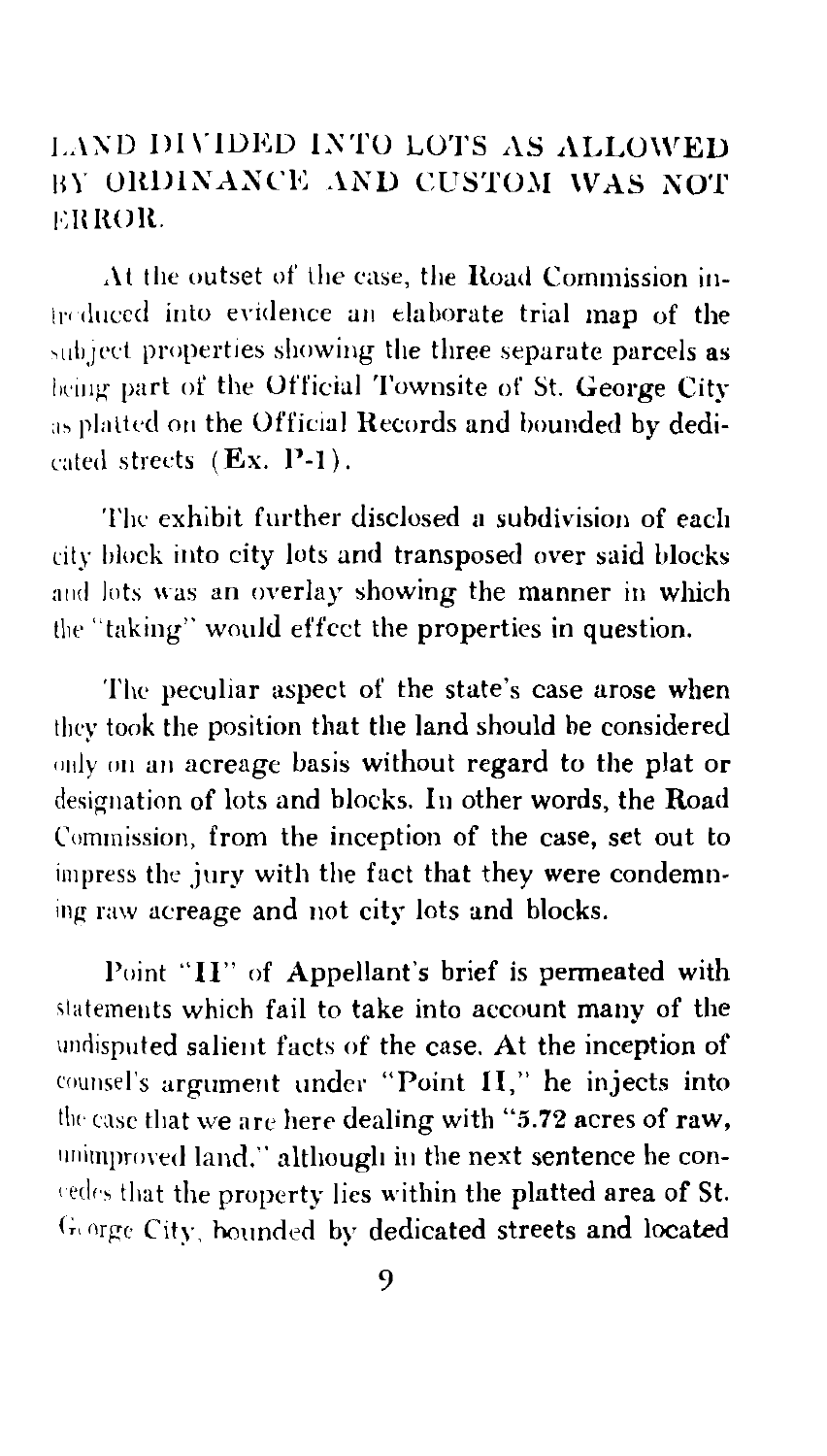## LAND DIVIDED INTO LOTS AS ALLOWED BY ORDINANCE AND CUSTOM WAS NOT ERROR.

At the outset of the case, the Road Commission in-Irr duccd into evidence an elaborate trial map of the subject properties showing the three separate parcels as being part of the Official Townsite of St. George City as platted on the Official Records and bounded by dedicated streets (Ex. P-1).

The exhibit further disclosed a subdivision of each city hlock into city lots and transposed over said blocks and lots was an overlay showing the manner in which the ''taking" would effect the properties in question.

The peculiar aspect of the state's case arose when they took the position that the land should be considered only on an acreage basis without regard to the plat or designation of lots and blocks. In other words, the Road Commission, from the inception of the case, set out to impress the jury with the fact that they were condemning raw acreage and not city lots and blocks.

Point "II" of Appellant's brief is permeated with slatemeuts which fail to take into account many of the undisputed salient facts of the case. At the inception of counsel's argument under "Point II," he injects into tlw case that we are here dealing with *"5.* 72 acres of raw, unimproved land," although in the next sentence he conredes that the property lies within the platted area of St. George City, hounded by dedicated streets and located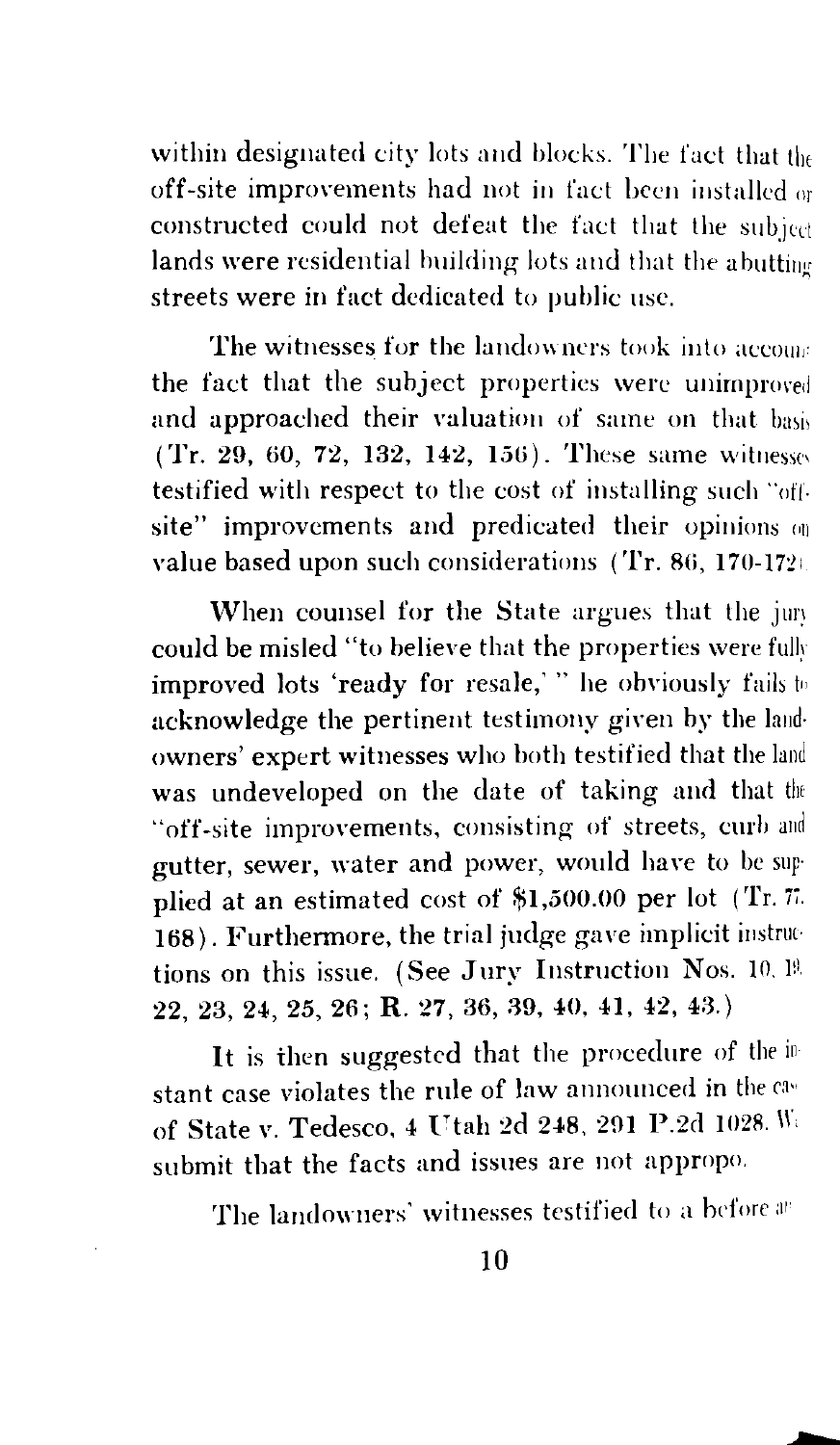within designated city lots and blocks. The fact that the off-site improvements had not in fact been installed or constructed could not defeat the fact that the subject lands were residential building lots and that the abutting streets were in fact dedicated to public use.

The witnesses for the landowners took into accome the fact that the subject properties were unimproved and approached their valuation of same on that basis  $(Tr, 29, 60, 72, 132, 142, 156)$ . These same witnesses testified with respect to the cost of installing such "oft. site" improvements and predicated their opinions  $\omega_0$ value based upon such considerations (Tr. 86, 170-172).

When counsel for the State argues that the jury could be misled "to believe that the properties were fully improved lots 'ready for resale,' " he obviously fails to acknowledge the pertinent testimony given by the land· owners' expert witnesses who both testified that the land was undeveloped on the date of taking and that the "off-site improvements, consisting of streets, curb and gutter, sewer, water and power, would have to be sup· plied at an estimated cost of \$1,500.00 per lot (Tr. 77. 168). Furthermore, the trial judge gave implicit instructions on this issue. (See Jury Instruction Nos. 10, 19.  $22, 23, 24, 25, 26;$  R.  $27, 36, 39, 40, 41, 42, 43.$ )

It is then suggested that the procedure of the instant case violates the rule of law announced in the of State v. Tedesco, 4 Utah 2d 248, 291 P.2d 1028. W. submit that the facts and issues are not appropo.

The landowners' witnesses testified to a before an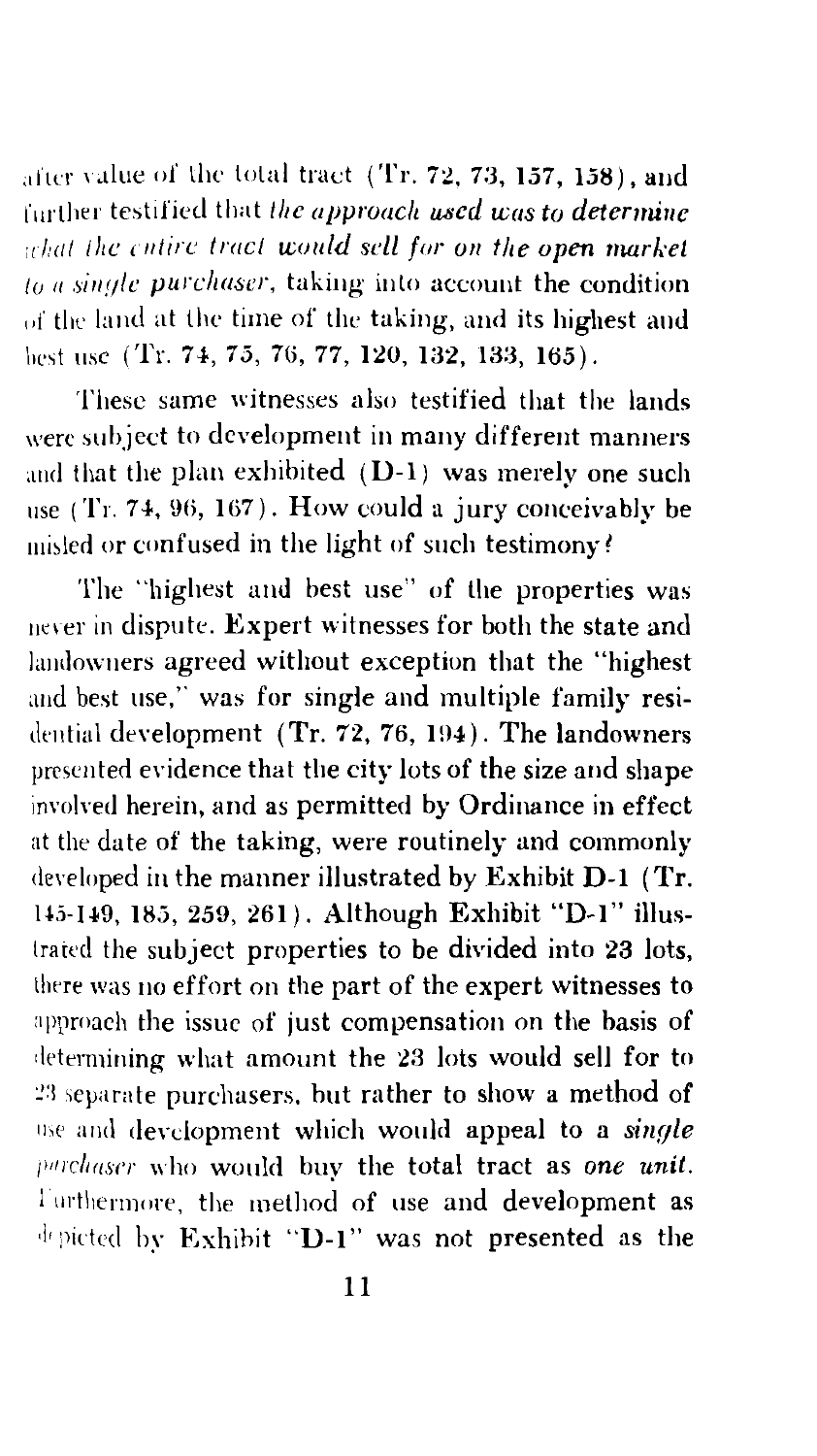after value of the total tract (Tr. 72, 73, 157, 158), and further testified that the approach used was to determine what the entire tract would sell for on the open market  $\mu_a$  single purchaser, taking into account the condition of the land at the time of the taking, and its highest and best use (Tr. 74, 75, 76, 77, 120, 132, 133, 165).

These same witnesses also testified that the lands were subject to development in many different manners and that the plan exhibited (D-1) was merely one such use  $(Tr. 74, 96, 167)$ . How could a jury conceivably be misled or confused in the light of such testimony?

The "highest and best use" of the properties was never in dispute. Expert witnesses for both the state and landowners agreed without exception that the "highest and best use," was for single and multiple family residential development (Tr. 72, 76, 194). The landowners presented evidence that the city lots of the size and shape involved herein, and as permitted by Ordinance in effect at the date of the taking, were routinely and commonly developed in the manner illustrated by Exhibit D-1 (Tr. 145-149, 185, 259, 261). Although Exhibit "D-1" illustrated the subject properties to be divided into 23 lots, there was no effort on the part of the expert witnesses to approach the issue of just compensation on the basis of determining what amount the 23 lots would sell for to 23 separate purchasers, but rather to show a method of use and development which would appeal to a single purchaser who would buy the total tract as one unit. Furthermore, the method of use and development as depicted by Exhibit "D-1" was not presented as the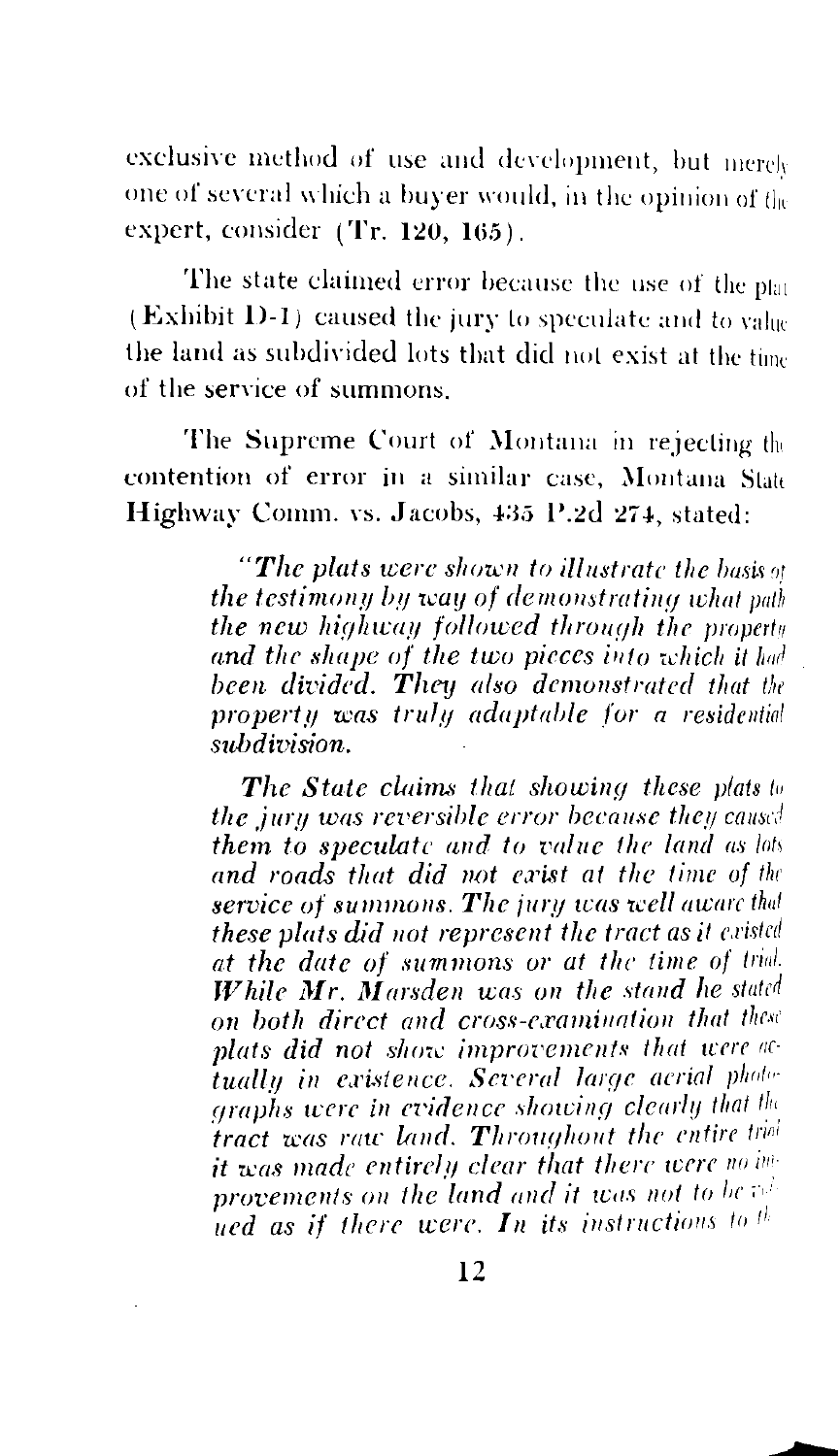exclusive method of use and development, but merely one of several which a buver would, in the opinion of the expert. consider (Tr. 120, 165).

The state claimed error because the use of the plat (Exhibit D-1) caused the jury to speculate and to value the land as subdivided lots that did not exist at the time of the service of summons.

The Supreme Court of Montana in rejecting the contention of error in a similar case. Montana State Highway Comm. vs. Jacobs, 435 P.2d 274, stated:

> "The plats were shown to illustrate the basis of the testimony by way of demonstrating what path the new highway followed through the property and the shape of the two pieces into which it had been divided. They also demonstrated that the property was truly adaptable for a residential  $subdivision$

> The State claims that showing these plats to the jury was reversible error because they caused them to speculate and to value the land as lots and roads that did not exist at the time of the service of summons. The jury was well aware that these plats did not represent the tract as it existed at the date of summons or at the time of trial. While Mr. Marsden was on the stand he stated on both direct and cross-examination that these plats did not show improvements that were actually in existence. Several large acrial photographs were in evidence showing clearly that the tract was raw land. Throughout the entire trial it was made entirely clear that there were no inprovements on the land and it was not to be rel ued as if there were. In its instructions to  $t^{\frac{1}{n}}$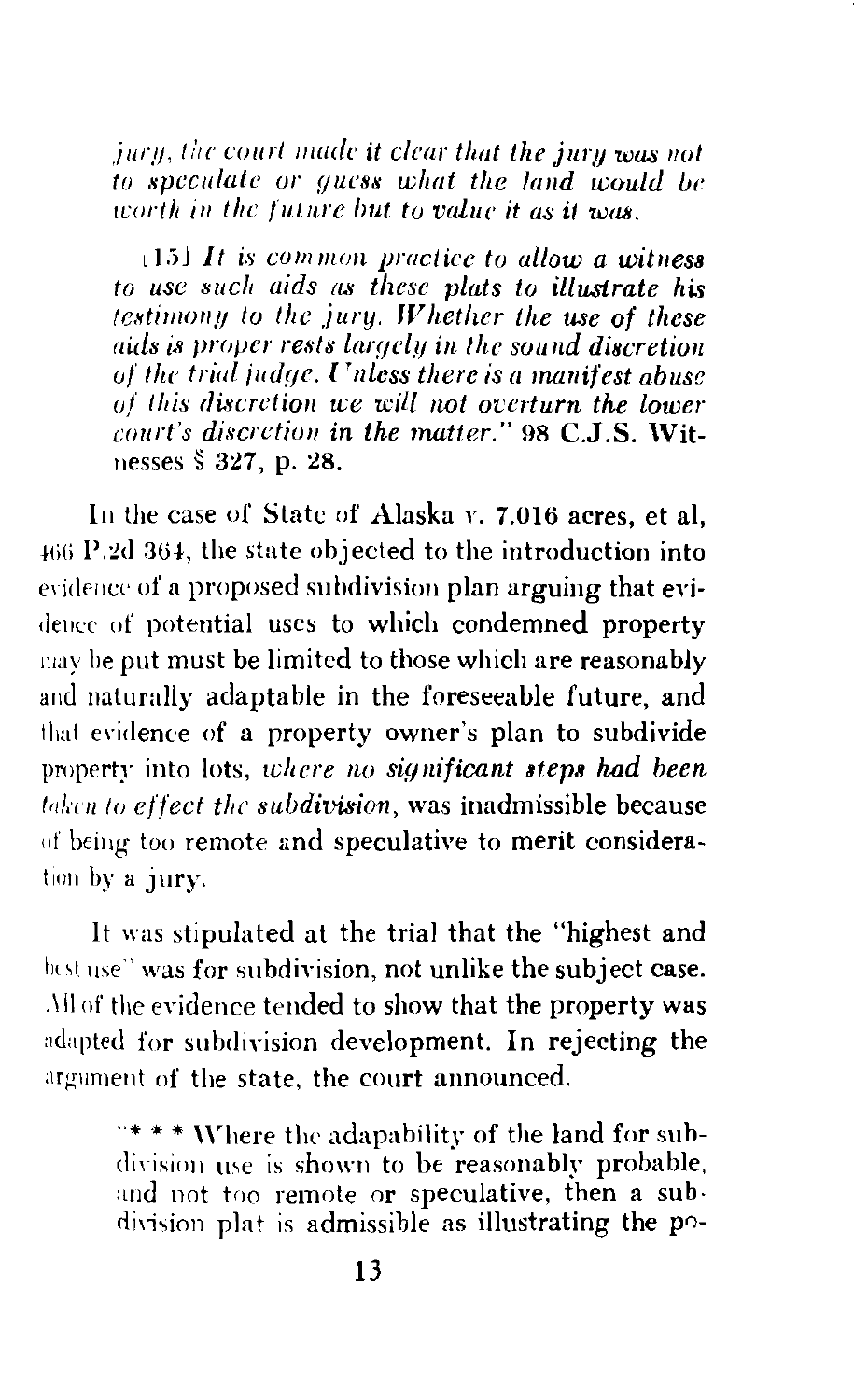jury, the court made it clear that the jury was not to speculate or guess what the land would be worth in the future but to value it as it was

 $\lfloor 15 \rfloor$  It is common practice to allow a witness to use such aids as these plats to illustrate his testimony to the jury. Whether the use of these aids is proper rests largely in the sound discretion of the trial judge. Unless there is a manifest abuse of this discretion we will not overturn the lower court's discretion in the matter." 98 C.J.S. Witnesses § 327, p. 28.

In the case of State of Alaska v. 7.016 acres, et al, 466 P.2d 364, the state objected to the introduction into evidence of a proposed subdivision plan arguing that evidence of potential uses to which condemned property may be put must be limited to those which are reasonably and naturally adaptable in the foreseeable future, and that evidence of a property owner's plan to subdivide property into lots, where no significant steps had been taken to effect the subdivision, was inadmissible because of being too remote and speculative to merit consideration by a jury.

It was stipulated at the trial that the "highest and best use" was for subdivision, not unlike the subject case. All of the evidence tended to show that the property was adapted for subdivision development. In rejecting the argument of the state, the court announced.

> "\*\*\* Where the adapability of the land for subdivision use is shown to be reasonably probable, and not too remote or speculative, then a subdivision plat is admissible as illustrating the po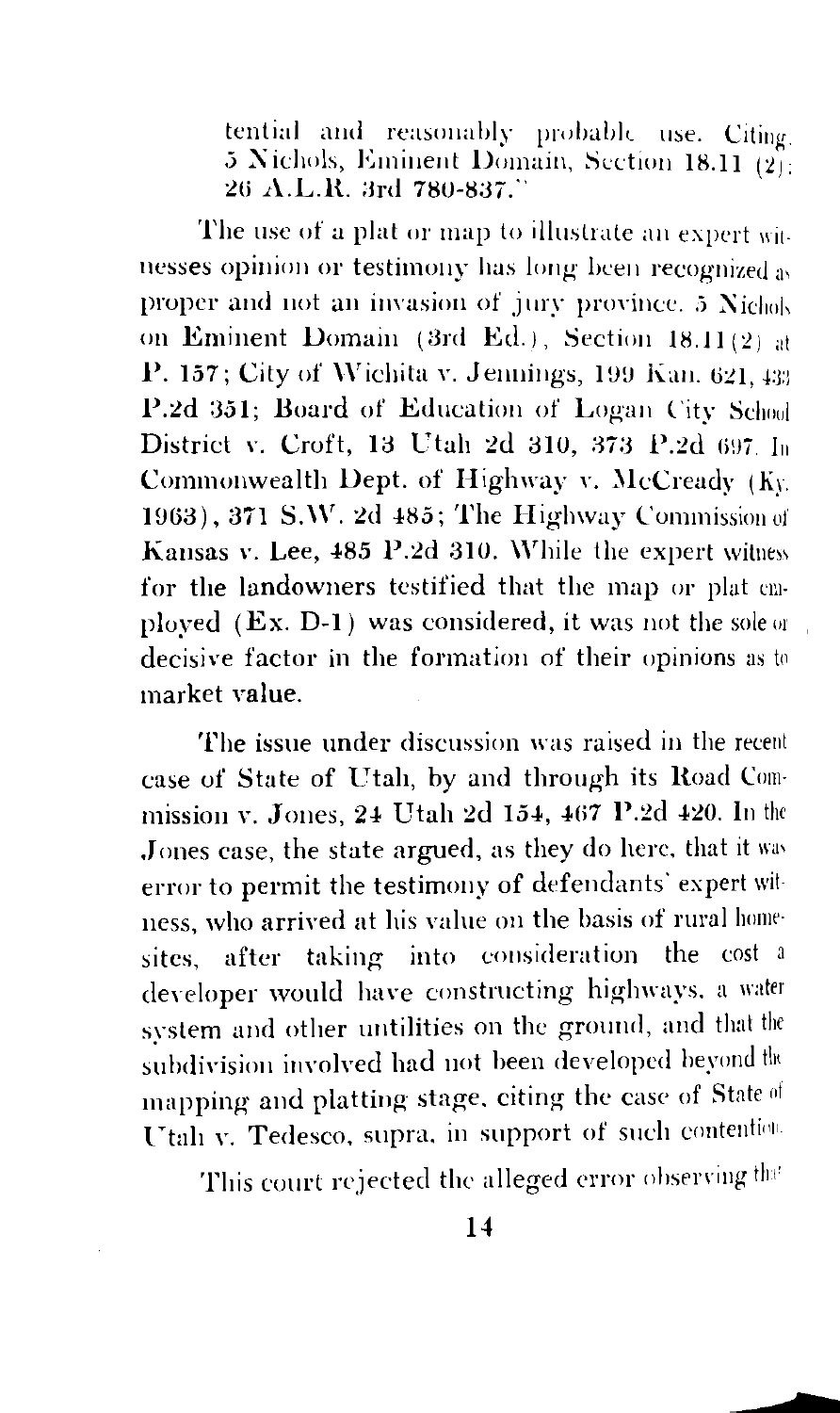tential and reasonably probable use. Citing 5 Nichols, Eminent Domain, Section 18.11 (2): 26 A.L.R. 3rd 780-837.

The use of a plat or map to illustrate an expert with nesses opinion or testimony has long been recognized as proper and not an invasion of jury province. 5 Nichols on Eminent Domain (3rd Ed.), Section 18.11(2) at P. 157; City of Wichita v. Jennings, 199 Kan. 621, 433 P.2d 351; Board of Education of Logan City School District v. Croft. 13 Utah 2d 310, 373 P.2d 697 In Commonwealth Dept. of Highway v. McCready (Ky. 1963), 371 S.W. 2d 485; The Highway Commission of Kansas v. Lee, 485 P.2d 310. While the expert witness for the landowners testified that the map or plat emploved  $(EX, D-1)$  was considered, it was not the sole or decisive factor in the formation of their opinions as to market value.

The issue under discussion was raised in the recent case of State of Utah, by and through its Road Commission v. Jones, 24 Utah 2d 154, 467 P.2d 420. In the Jones case, the state argued, as they do here, that it was error to permit the testimony of defendants' expert witness, who arrived at his value on the basis of rural homesites, after taking into consideration the cost a developer would have constructing highways, a water system and other untilities on the ground, and that the subdivision involved had not been developed beyond the mapping and platting stage, citing the case of State of Utah v. Tedesco, supra, in support of such contention.

This court rejected the alleged error observing that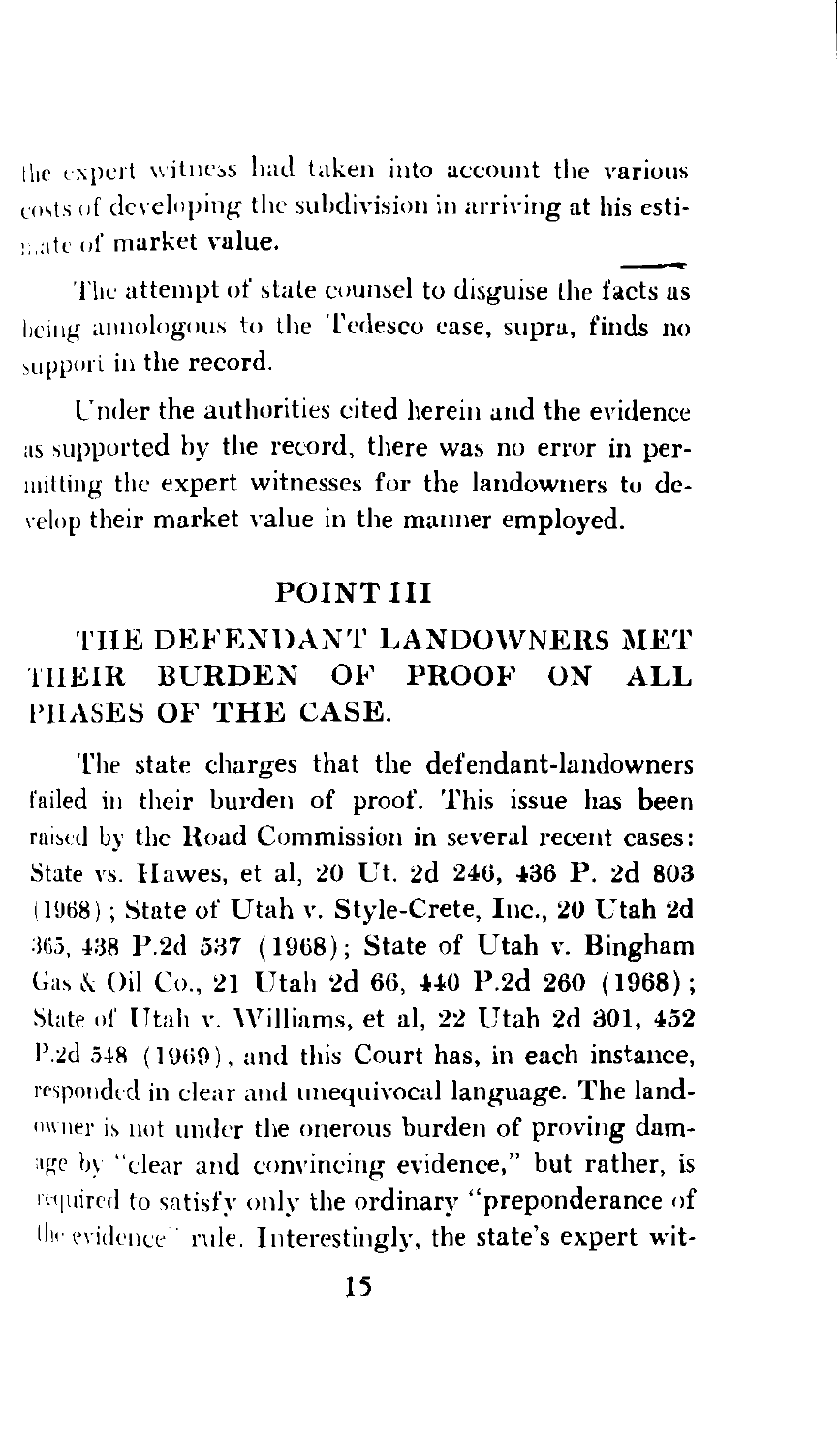the expert witness had taken into account the various costs of developing the subdivision in arriving at his estinate of market value.

The attempt of state counsel to disguise the facts as being annologous to the Tedesco case, supra, finds no support in the record.

Under the authorities cited herein and the evidence as supported by the record, there was no error in permitting the expert witnesses for the landowners to develop their market value in the manner employed.

#### POINT III

## THE DEFENDANT LANDOWNERS MET THEIR BURDEN OF PROOF ON ALL PHASES OF THE CASE.

The state charges that the defendant-landowners failed in their burden of proof. This issue has been raised by the Road Commission in several recent cases: State vs. Hawes, et al. 20 Ut. 2d 246, 436 P. 2d 803 (1968); State of Utah v. Style-Crete, Inc., 20 Utah 2d 365, 438 P.2d 537 (1968); State of Utah v. Bingham Gas & Oil Co., 21 Utah 2d 66, 440 P.2d 260 (1968); State of Utah v. Williams, et al, 22 Utah 2d 301, 452 P.2d 548 (1969), and this Court has, in each instance, responded in clear and unequivocal language. The landowner is not under the onerous burden of proving damage by "clear and convincing evidence," but rather, is required to satisfy only the ordinary "preponderance of the evidence" rule. Interestingly, the state's expert wit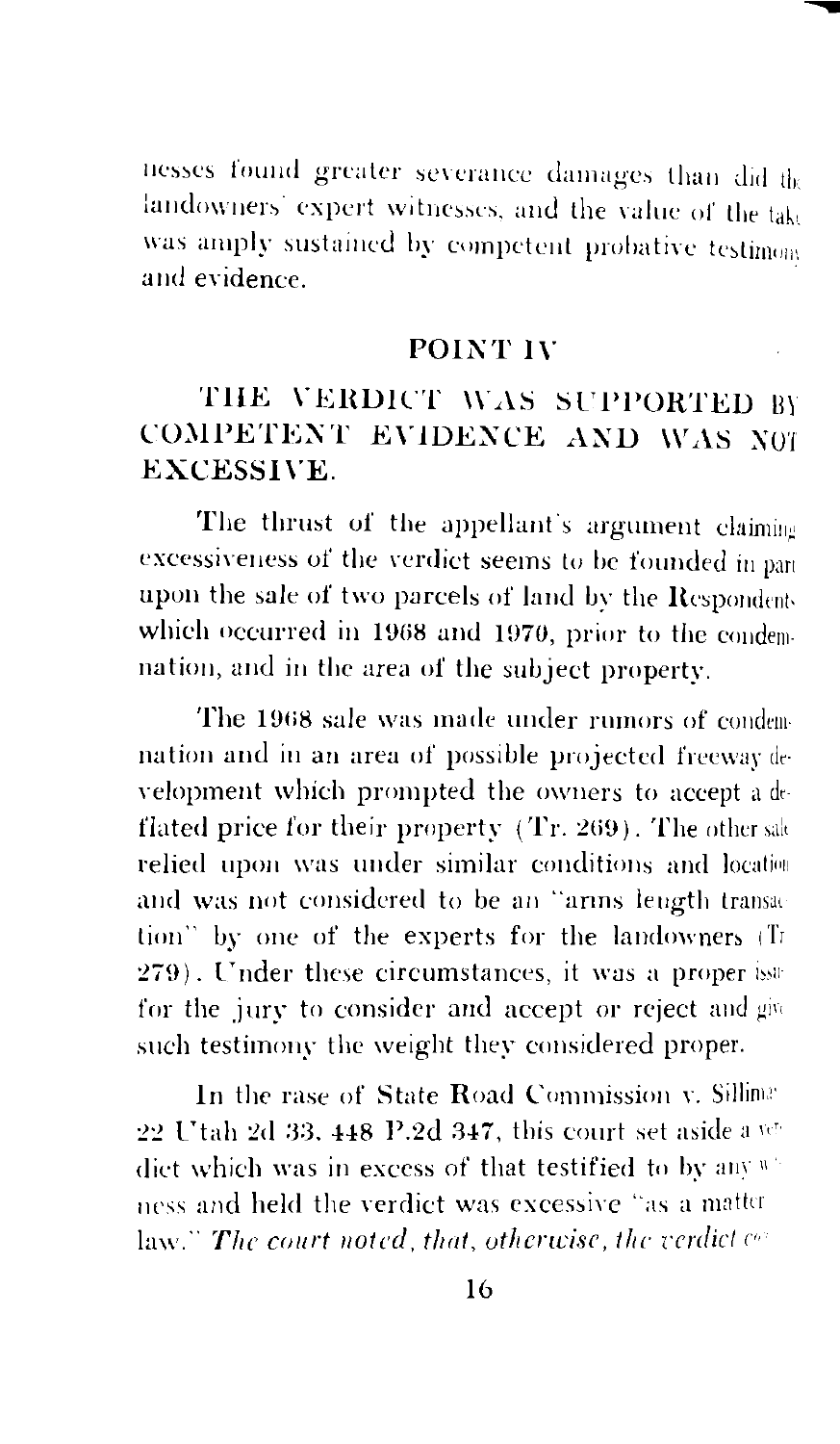nesses found greater severance damages than did the landowners' expert witnesses, and the value of the take was amply sustained by competent probative testinom and evidence

### POINT IV

## THE VERDICT WAS SUPPORTED BY COMPETENT EVIDENCE AND WAS NOT **EXCESSIVE.**

The thrust of the appellant's argument claiming excessiveness of the verdict seems to be founded in part upon the sale of two parcels of land by the Respondents which occurred in 1968 and 1970, prior to the condemnation, and in the area of the subject property.

The 1968 sale was made under rumors of condemnation and in an area of possible projected freeway development which prompted the owners to accept a deflated price for their property (Tr. 269). The other sak relied upon was under similar conditions and location and was not considered to be an "arms length transaction" by one of the experts for the landowners (Tr 279). Under these circumstances, it was a proper issufor the jury to consider and accept or reject and give such testimony the weight they considered proper.

In the rase of State Road Commission v. Silliman 22 Utah 2d 33, 448 P.2d 347, this court set aside a vedict which was in excess of that testified to by any winess and held the verdict was excessive "as a matter  $law$ ." The court noted, that, otherwise, the verdict  $ce$